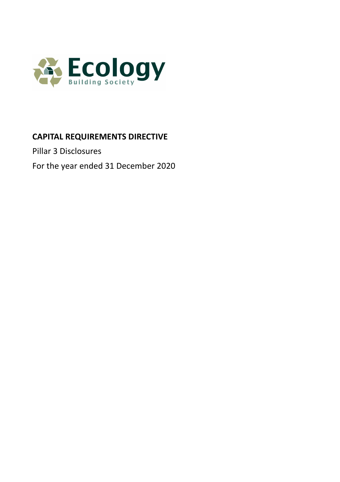

# **CAPITAL REQUIREMENTS DIRECTIVE**

Pillar 3 Disclosures

For the year ended 31 December 2020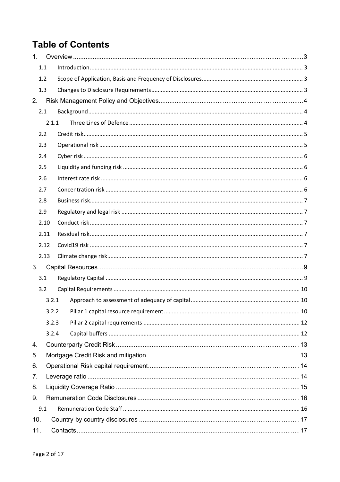# **Table of Contents**

| 1.  |      |       |  |  |
|-----|------|-------|--|--|
|     | 1.1  |       |  |  |
|     | 1.2  |       |  |  |
|     | 1.3  |       |  |  |
| 2.  |      |       |  |  |
|     | 2.1  |       |  |  |
|     |      | 2.1.1 |  |  |
|     | 2.2  |       |  |  |
|     | 2.3  |       |  |  |
|     | 2.4  |       |  |  |
|     | 2.5  |       |  |  |
|     | 2.6  |       |  |  |
|     | 2.7  |       |  |  |
|     | 2.8  |       |  |  |
|     | 2.9  |       |  |  |
|     | 2.10 |       |  |  |
|     | 2.11 |       |  |  |
|     | 2.12 |       |  |  |
|     | 2.13 |       |  |  |
| 3.  |      |       |  |  |
|     | 3.1  |       |  |  |
|     | 3.2  |       |  |  |
|     |      | 3.2.1 |  |  |
|     |      |       |  |  |
|     |      | 3.2.3 |  |  |
|     |      | 3.2.4 |  |  |
| 4.  |      |       |  |  |
| 5.  |      |       |  |  |
| 6.  |      |       |  |  |
| 7.  |      |       |  |  |
| 8.  |      |       |  |  |
| 9.  |      |       |  |  |
|     | 9.1  |       |  |  |
| 10. |      |       |  |  |
| 11. |      |       |  |  |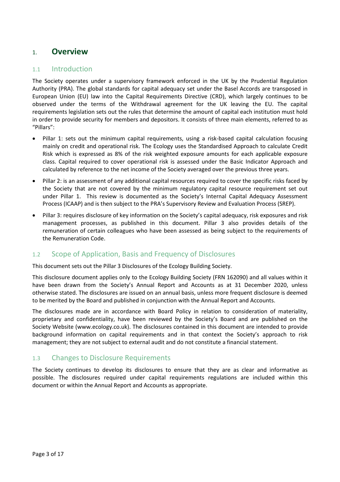# 1. **Overview**

#### 1.1 Introduction

The Society operates under a supervisory framework enforced in the UK by the Prudential Regulation Authority (PRA). The global standards for capital adequacy set under the Basel Accords are transposed in European Union (EU) law into the Capital Requirements Directive (CRD), which largely continues to be observed under the terms of the Withdrawal agreement for the UK leaving the EU. The capital requirements legislation sets out the rules that determine the amount of capital each institution must hold in order to provide security for members and depositors. It consists of three main elements, referred to as "Pillars":

- Pillar 1: sets out the minimum capital requirements, using a risk-based capital calculation focusing mainly on credit and operational risk. The Ecology uses the Standardised Approach to calculate Credit Risk which is expressed as 8% of the risk weighted exposure amounts for each applicable exposure class. Capital required to cover operational risk is assessed under the Basic Indicator Approach and calculated by reference to the net income of the Society averaged over the previous three years.
- Pillar 2: is an assessment of any additional capital resources required to cover the specific risks faced by the Society that are not covered by the minimum regulatory capital resource requirement set out under Pillar 1. This review is documented as the Society's Internal Capital Adequacy Assessment Process (ICAAP) and is then subject to the PRA's Supervisory Review and Evaluation Process (SREP).
- Pillar 3: requires disclosure of key information on the Society's capital adequacy, risk exposures and risk management processes, as published in this document. Pillar 3 also provides details of the remuneration of certain colleagues who have been assessed as being subject to the requirements of the Remuneration Code.

### 1.2 Scope of Application, Basis and Frequency of Disclosures

This document sets out the Pillar 3 Disclosures of the Ecology Building Society.

This disclosure document applies only to the Ecology Building Society (FRN 162090) and all values within it have been drawn from the Society's Annual Report and Accounts as at 31 December 2020, unless otherwise stated. The disclosures are issued on an annual basis, unless more frequent disclosure is deemed to be merited by the Board and published in conjunction with the Annual Report and Accounts.

The disclosures made are in accordance with Board Policy in relation to consideration of materiality, proprietary and confidentiality, have been reviewed by the Society's Board and are published on the Society Website [\(www.ecology.co.uk\)](http://www.ecology.co.uk/). The disclosures contained in this document are intended to provide background information on capital requirements and in that context the Society's approach to risk management; they are not subject to external audit and do not constitute a financial statement.

## 1.3 Changes to Disclosure Requirements

The Society continues to develop its disclosures to ensure that they are as clear and informative as possible. The disclosures required under capital requirements regulations are included within this document or within the Annual Report and Accounts as appropriate.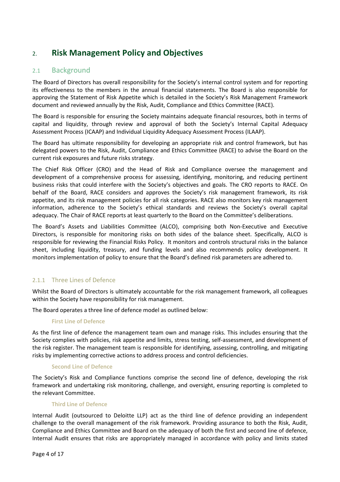# 2. **Risk Management Policy and Objectives**

## 2.1 Background

The Board of Directors has overall responsibility for the Society's internal control system and for reporting its effectiveness to the members in the annual financial statements. The Board is also responsible for approving the Statement of Risk Appetite which is detailed in the Society's Risk Management Framework document and reviewed annually by the Risk, Audit, Compliance and Ethics Committee (RACE).

The Board is responsible for ensuring the Society maintains adequate financial resources, both in terms of capital and liquidity, through review and approval of both the Society's Internal Capital Adequacy Assessment Process (ICAAP) and Individual Liquidity Adequacy Assessment Process (ILAAP).

The Board has ultimate responsibility for developing an appropriate risk and control framework, but has delegated powers to the Risk, Audit, Compliance and Ethics Committee (RACE) to advise the Board on the current risk exposures and future risks strategy.

The Chief Risk Officer (CRO) and the Head of Risk and Compliance oversee the management and development of a comprehensive process for assessing, identifying, monitoring, and reducing pertinent business risks that could interfere with the Society's objectives and goals. The CRO reports to RACE. On behalf of the Board, RACE considers and approves the Society's risk management framework, its risk appetite, and its risk management policies for all risk categories. RACE also monitors key risk management information, adherence to the Society's ethical standards and reviews the Society's overall capital adequacy. The Chair of RACE reports at least quarterly to the Board on the Committee's deliberations.

The Board's Assets and Liabilities Committee (ALCO), comprising both Non-Executive and Executive Directors, is responsible for monitoring risks on both sides of the balance sheet. Specifically, ALCO is responsible for reviewing the Financial Risks Policy. It monitors and controls structural risks in the balance sheet, including liquidity, treasury, and funding levels and also recommends policy development. It monitors implementation of policy to ensure that the Board's defined risk parameters are adhered to.

#### 2.1.1 Three Lines of Defence

Whilst the Board of Directors is ultimately accountable for the risk management framework, all colleagues within the Society have responsibility for risk management.

The Board operates a three line of defence model as outlined below:

#### **First Line of Defence**

As the first line of defence the management team own and manage risks. This includes ensuring that the Society complies with policies, risk appetite and limits, stress testing, self-assessment, and development of the risk register. The management team is responsible for identifying, assessing, controlling, and mitigating risks by implementing corrective actions to address process and control deficiencies.

#### **Second Line of Defence**

The Society's Risk and Compliance functions comprise the second line of defence, developing the risk framework and undertaking risk monitoring, challenge, and oversight, ensuring reporting is completed to the relevant Committee.

#### **Third Line of Defence**

Internal Audit (outsourced to Deloitte LLP) act as the third line of defence providing an independent challenge to the overall management of the risk framework. Providing assurance to both the Risk, Audit, Compliance and Ethics Committee and Board on the adequacy of both the first and second line of defence, Internal Audit ensures that risks are appropriately managed in accordance with policy and limits stated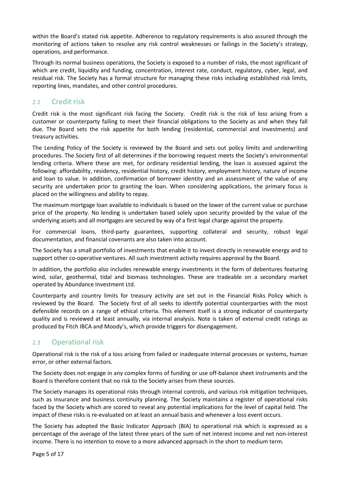within the Board's stated risk appetite. Adherence to regulatory requirements is also assured through the monitoring of actions taken to resolve any risk control weaknesses or failings in the Society's strategy, operations, and performance.

Through its normal business operations, the Society is exposed to a number of risks, the most significant of which are credit, liquidity and funding, concentration, interest rate, conduct, regulatory, cyber, legal, and residual risk. The Society has a formal structure for managing these risks including established risk limits, reporting lines, mandates, and other control procedures.

## 2.2 Credit risk

Credit risk is the most significant risk facing the Society. Credit risk is the risk of loss arising from a customer or counterparty failing to meet their financial obligations to the Society as and when they fall due. The Board sets the risk appetite for both lending (residential, commercial and investments) and treasury activities.

The Lending Policy of the Society is reviewed by the Board and sets out policy limits and underwriting procedures. The Society first of all determines if the borrowing request meets the Society's environmental lending criteria. Where these are met, for ordinary residential lending, the loan is assessed against the following: affordability, residency, residential history, credit history, employment history, nature of income and loan to value. In addition, confirmation of borrower identity and an assessment of the value of any security are undertaken prior to granting the loan. When considering applications, the primary focus is placed on the willingness and ability to repay.

The maximum mortgage loan available to individuals is based on the lower of the current value or purchase price of the property. No lending is undertaken based solely upon security provided by the value of the underlying assets and all mortgages are secured by way of a first legal charge against the property.

For commercial loans, third-party guarantees, supporting collateral and security, robust legal documentation, and financial covenants are also taken into account.

The Society has a small portfolio of investments that enable it to invest directly in renewable energy and to support other co-operative ventures. All such investment activity requires approval by the Board.

In addition, the portfolio also includes renewable energy investments in the form of debentures featuring wind, solar, geothermal, tidal and biomass technologies. These are tradeable on a secondary market operated by Abundance Investment Ltd.

Counterparty and country limits for treasury activity are set out in the Financial Risks Policy which is reviewed by the Board. The Society first of all seeks to identify potential counterparties with the most defensible records on a range of ethical criteria. This element itself is a strong indicator of counterparty quality and is reviewed at least annually, via internal analysis. Note is taken of external credit ratings as produced by Fitch IBCA and Moody's, which provide triggers for disengagement.

## 2.3 Operational risk

Operational risk is the risk of a loss arising from failed or inadequate internal processes or systems, human error, or other external factors.

The Society does not engage in any complex forms of funding or use off-balance sheet instruments and the Board is therefore content that no risk to the Society arises from these sources.

The Society manages its operational risks through internal controls, and various risk mitigation techniques, such as insurance and business continuity planning. The Society maintains a register of operational risks faced by the Society which are scored to reveal any potential implications for the level of capital held. The impact of these risks is re-evaluated on at least an annual basis and whenever a loss event occurs.

The Society has adopted the Basic Indicator Approach (BIA) to operational risk which is expressed as a percentage of the average of the latest three years of the sum of net interest income and net non-interest income. There is no intention to move to a more advanced approach in the short to medium term.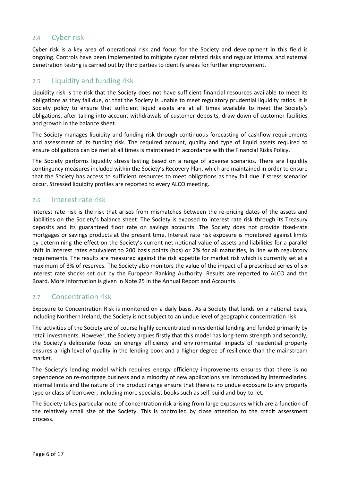## 2.4 Cyber risk

Cyber risk is a key area of operational risk and focus for the Society and development in this field is ongoing. Controls have been implemented to mitigate cyber related risks and regular internal and external penetration testing is carried out by third parties to identify areas for further improvement.

## 2.5 Liquidity and funding risk

Liquidity risk is the risk that the Society does not have sufficient financial resources available to meet its obligations as they fall due, or that the Society is unable to meet regulatory prudential liquidity ratios. It is Society policy to ensure that sufficient liquid assets are at all times available to meet the Society's obligations, after taking into account withdrawals of customer deposits, draw-down of customer facilities and growth in the balance sheet.

The Society manages liquidity and funding risk through continuous forecasting of cashflow requirements and assessment of its funding risk. The required amount, quality and type of liquid assets required to ensure obligations can be met at all times is maintained in accordance with the Financial Risks Policy.

The Society performs liquidity stress testing based on a range of adverse scenarios. There are liquidity contingency measures included within the Society's Recovery Plan, which are maintained in order to ensure that the Society has access to sufficient resources to meet obligations as they fall due if stress scenarios occur. Stressed liquidity profiles are reported to every ALCO meeting.

#### 2.6 Interest rate risk

Interest rate risk is the risk that arises from mismatches between the re-pricing dates of the assets and liabilities on the Society's balance sheet. The Society is exposed to interest rate risk through its Treasury deposits and its guaranteed floor rate on savings accounts. The Society does not provide fixed-rate mortgages or savings products at the present time. Interest rate risk exposure is monitored against limits by determining the effect on the Society's current net notional value of assets and liabilities for a parallel shift in interest rates equivalent to 200 basis points (bps) or 2% for all maturities, in line with regulatory requirements. The results are measured against the risk appetite for market risk which is currently set at a maximum of 3% of reserves. The Society also monitors the value of the impact of a prescribed series of six interest rate shocks set out by the European Banking Authority. Results are reported to ALCO and the Board. More information is given in Note 25 in the Annual Report and Accounts.

### 2.7 Concentration risk

Exposure to Concentration Risk is monitored on a daily basis. As a Society that lends on a national basis, including Northern Ireland, the Society is not subject to an undue level of geographic concentration risk.

The activities of the Society are of course highly concentrated in residential lending and funded primarily by retail investments. However, the Society argues firstly that this model has long-term strength and secondly, the Society's deliberate focus on energy efficiency and environmental impacts of residential property ensures a high level of quality in the lending book and a higher degree of resilience than the mainstream market.

The Society's lending model which requires energy efficiency improvements ensures that there is no dependence on re-mortgage business and a minority of new applications are introduced by intermediaries. Internal limits and the nature of the product range ensure that there is no undue exposure to any property type or class of borrower, including more specialist books such as self-build and buy-to-let.

The Society takes particular note of concentration risk arising from large exposures which are a function of the relatively small size of the Society. This is controlled by close attention to the credit assessment process.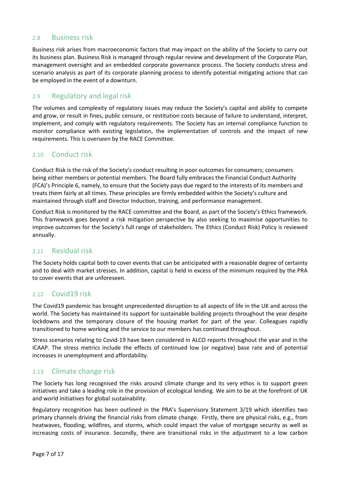### 2.8 Business risk

Business risk arises from macroeconomic factors that may impact on the ability of the Society to carry out its business plan. Business Risk is managed through regular review and development of the Corporate Plan, management oversight and an embedded corporate governance process. The Society conducts stress and scenario analysis as part of its corporate planning process to identify potential mitigating actions that can be employed in the event of a downturn.

### 2.9 Regulatory and legal risk

The volumes and complexity of regulatory issues may reduce the Society's capital and ability to compete and grow, or result in fines, public censure, or restitution costs because of failure to understand, interpret, implement, and comply with regulatory requirements. The Society has an internal compliance function to monitor compliance with existing legislation, the implementation of controls and the impact of new requirements. This is overseen by the RACE Committee.

### 2.10 Conduct risk

Conduct Risk is the risk of the Society's conduct resulting in poor outcomes for consumers; consumers being either members or potential members. The Board fully embraces the Financial Conduct Authority (FCA)'s Principle 6, namely, to ensure that the Society pays due regard to the interests of its members and treats them fairly at all times. These principles are firmly embedded within the Society's culture and maintained through staff and Director Induction, training, and performance management.

Conduct Risk is monitored by the RACE committee and the Board, as part of the Society's Ethics framework. This framework goes beyond a risk mitigation perspective by also seeking to maximise opportunities to improve outcomes for the Society's full range of stakeholders. The Ethics (Conduct Risk) Policy is reviewed annually.

### 2.11 Residual risk

The Society holds capital both to cover events that can be anticipated with a reasonable degree of certainty and to deal with market stresses. In addition, capital is held in excess of the minimum required by the PRA to cover events that are unforeseen.

### 2.12 Covid19 risk

The Covid19 pandemic has brought unprecedented disruption to all aspects of life in the UK and across the world. The Society has maintained its support for sustainable building projects throughout the year despite lockdowns and the temporary closure of the housing market for part of the year. Colleagues rapidly transitioned to home working and the service to our members has continued throughout.

Stress scenarios relating to Covid-19 have been considered in ALCO reports throughout the year and in the ICAAP. The stress metrics include the effects of continued low (or negative) base rate and of potential increases in unemployment and affordability.

### 2.13 Climate change risk

The Society has long recognised the risks around climate change and its very ethos is to support green initiatives and take a leading role in the provision of ecological lending. We aim to be at the forefront of UK and world initiatives for global sustainability.

Regulatory recognition has been outlined in the PRA's Supervisory Statement 3/19 which identifies two primary channels driving the financial risks from climate change. Firstly, there are physical risks, e.g., from heatwaves, flooding, wildfires, and storms, which could impact the value of mortgage security as well as increasing costs of insurance. Secondly, there are transitional risks in the adjustment to a low carbon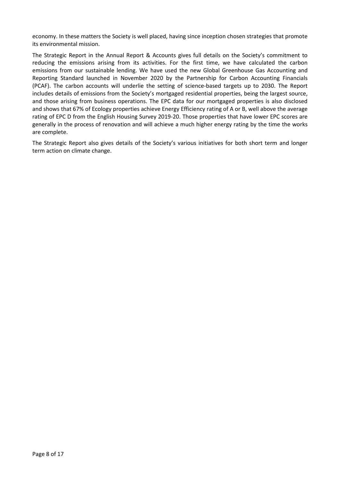economy. In these matters the Society is well placed, having since inception chosen strategies that promote its environmental mission.

The Strategic Report in the Annual Report & Accounts gives full details on the Society's commitment to reducing the emissions arising from its activities. For the first time, we have calculated the carbon emissions from our sustainable lending. We have used the new Global Greenhouse Gas Accounting and Reporting Standard launched in November 2020 by the Partnership for Carbon Accounting Financials (PCAF). The carbon accounts will underlie the setting of science-based targets up to 2030. The Report includes details of emissions from the Society's mortgaged residential properties, being the largest source, and those arising from business operations. The EPC data for our mortgaged properties is also disclosed and shows that 67% of Ecology properties achieve Energy Efficiency rating of A or B, well above the average rating of EPC D from the English Housing Survey 2019-20. Those properties that have lower EPC scores are generally in the process of renovation and will achieve a much higher energy rating by the time the works are complete.

The Strategic Report also gives details of the Society's various initiatives for both short term and longer term action on climate change.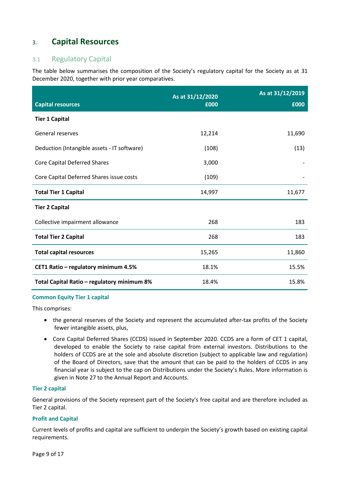# 3. **Capital Resources**

## 3.1 Regulatory Capital

The table below summarises the composition of the Society's regulatory capital for the Society as at 31 December 2020, together with prior year comparatives.

|                                             | As at 31/12/2020 | As at 31/12/2019 |
|---------------------------------------------|------------------|------------------|
| <b>Capital resources</b>                    | £000             | £000             |
| <b>Tier 1 Capital</b>                       |                  |                  |
| General reserves                            | 12,214           | 11,690           |
| Deduction (Intangible assets - IT software) | (108)            | (13)             |
| <b>Core Capital Deferred Shares</b>         | 3,000            |                  |
| Core Capital Deferred Shares issue costs    | (109)            |                  |
| <b>Total Tier 1 Capital</b>                 | 14,997           | 11,677           |
| <b>Tier 2 Capital</b>                       |                  |                  |
| Collective impairment allowance             | 268              | 183              |
| <b>Total Tier 2 Capital</b>                 | 268              | 183              |
| <b>Total capital resources</b>              | 15,265           | 11,860           |
| CET1 Ratio - regulatory minimum 4.5%        | 18.1%            | 15.5%            |
| Total Capital Ratio - regulatory minimum 8% | 18.4%            | 15.8%            |

#### **Common Equity Tier 1 capital**

This comprises:

- the general reserves of the Society and represent the accumulated after-tax profits of the Society fewer intangible assets, plus,
- Core Capital Deferred Shares (CCDS) issued in September 2020. CCDS are a form of CET 1 capital, developed to enable the Society to raise capital from external investors. Distributions to the holders of CCDS are at the sole and absolute discretion (subject to applicable law and regulation) of the Board of Directors, save that the amount that can be paid to the holders of CCDS in any financial year is subject to the cap on Distributions under the Society's Rules. More information is given in Note 27 to the Annual Report and Accounts.

#### **Tier 2 capital**

General provisions of the Society represent part of the Society's free capital and are therefore included as Tier 2 capital.

#### **Profit and Capital**

Current levels of profits and capital are sufficient to underpin the Society's growth based on existing capital requirements.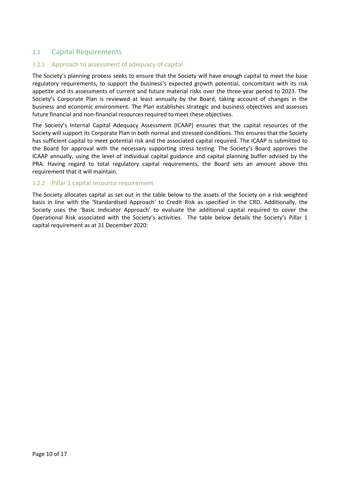## 3.2 Capital Requirements

#### 3.2.1 Approach to assessment of adequacy of capital

The Society's planning process seeks to ensure that the Society will have enough capital to meet the base regulatory requirements, to support the business's expected growth potential, concomitant with its risk appetite and its assessments of current and future material risks over the three-year period to 2023. The Society's Corporate Plan is reviewed at least annually by the Board, taking account of changes in the business and economic environment. The Plan establishes strategic and business objectives and assesses future financial and non-financial resources required to meet these objectives.

The Society's Internal Capital Adequacy Assessment (ICAAP) ensures that the capital resources of the Society will support its Corporate Plan in both normal and stressed conditions. This ensures that the Society has sufficient capital to meet potential risk and the associated capital required. The ICAAP is submitted to the Board for approval with the necessary supporting stress testing. The Society's Board approves the ICAAP annually, using the level of individual capital guidance and capital planning buffer advised by the PRA. Having regard to total regulatory capital requirements, the Board sets an amount above this requirement that it will maintain.

#### 3.2.2 Pillar 1 capital resource requirement

The Society allocates capital as set out in the table below to the assets of the Society on a risk weighted basis in line with the 'Standardised Approach' to Credit Risk as specified in the CRD. Additionally, the Society uses the 'Basic Indicator Approach' to evaluate the additional capital required to cover the Operational Risk associated with the Society's activities. The table below details the Society's Pillar 1 capital requirement as at 31 December 2020: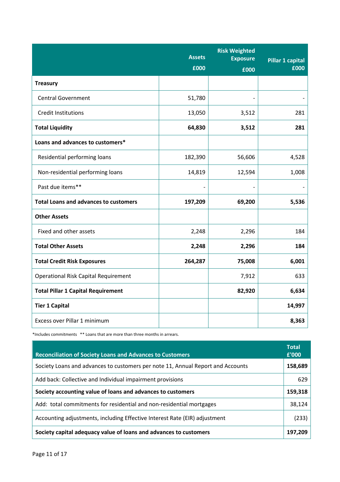|                                              | <b>Assets</b><br>£000 | <b>Risk Weighted</b><br><b>Exposure</b><br>£000 | <b>Pillar 1 capital</b><br>£000 |
|----------------------------------------------|-----------------------|-------------------------------------------------|---------------------------------|
| <b>Treasury</b>                              |                       |                                                 |                                 |
| <b>Central Government</b>                    | 51,780                | $\overline{a}$                                  |                                 |
| <b>Credit Institutions</b>                   | 13,050                | 3,512                                           | 281                             |
| <b>Total Liquidity</b>                       | 64,830                | 3,512                                           | 281                             |
| Loans and advances to customers*             |                       |                                                 |                                 |
| Residential performing loans                 | 182,390               | 56,606                                          | 4,528                           |
| Non-residential performing loans             | 14,819                | 12,594                                          | 1,008                           |
| Past due items**                             |                       |                                                 |                                 |
| <b>Total Loans and advances to customers</b> | 197,209               | 69,200                                          | 5,536                           |
| <b>Other Assets</b>                          |                       |                                                 |                                 |
| Fixed and other assets                       | 2,248                 | 2,296                                           | 184                             |
| <b>Total Other Assets</b>                    | 2,248                 | 2,296                                           | 184                             |
| <b>Total Credit Risk Exposures</b>           | 264,287               | 75,008                                          | 6,001                           |
| <b>Operational Risk Capital Requirement</b>  |                       | 7,912                                           | 633                             |
| <b>Total Pillar 1 Capital Requirement</b>    |                       | 82,920                                          | 6,634                           |
| <b>Tier 1 Capital</b>                        |                       |                                                 | 14,997                          |
| Excess over Pillar 1 minimum                 |                       |                                                 | 8,363                           |

\*Includes commitments \*\* Loans that are more than three months in arrears.

| <b>Reconciliation of Society Loans and Advances to Customers</b>                | <b>Total</b><br>£'000 |
|---------------------------------------------------------------------------------|-----------------------|
| Society Loans and advances to customers per note 11, Annual Report and Accounts | 158,689               |
| Add back: Collective and Individual impairment provisions                       | 629                   |
| Society accounting value of loans and advances to customers                     | 159,318               |
| Add: total commitments for residential and non-residential mortgages            | 38,124                |
| Accounting adjustments, including Effective Interest Rate (EIR) adjustment      | (233)                 |
| Society capital adequacy value of loans and advances to customers               | 197.209               |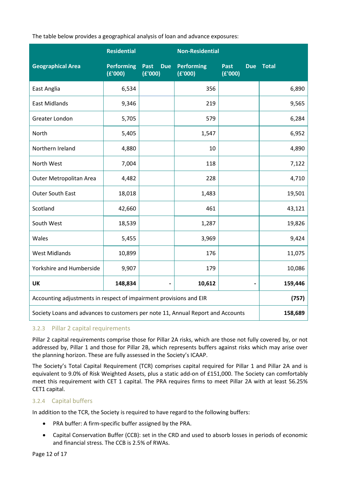The table below provides a geographical analysis of loan and advance exposures:

|                                                                                 | <b>Residential</b>           |                               | <b>Non-Residential</b>       |                               |              |
|---------------------------------------------------------------------------------|------------------------------|-------------------------------|------------------------------|-------------------------------|--------------|
| <b>Geographical Area</b>                                                        | <b>Performing</b><br>(E'000) | <b>Due</b><br>Past<br>(E'000) | <b>Performing</b><br>(E'000) | Past<br><b>Due</b><br>(E'000) | <b>Total</b> |
| East Anglia                                                                     | 6,534                        |                               | 356                          |                               | 6,890        |
| <b>East Midlands</b>                                                            | 9,346                        |                               | 219                          |                               | 9,565        |
| Greater London                                                                  | 5,705                        |                               | 579                          |                               | 6,284        |
| North                                                                           | 5,405                        |                               | 1,547                        |                               | 6,952        |
| Northern Ireland                                                                | 4,880                        |                               | 10                           |                               | 4,890        |
| North West                                                                      | 7,004                        |                               | 118                          |                               | 7,122        |
| Outer Metropolitan Area                                                         | 4,482                        |                               | 228                          |                               | 4,710        |
| <b>Outer South East</b>                                                         | 18,018                       |                               | 1,483                        |                               | 19,501       |
| Scotland                                                                        | 42,660                       |                               | 461                          |                               | 43,121       |
| South West                                                                      | 18,539                       |                               | 1,287                        |                               | 19,826       |
| Wales                                                                           | 5,455                        |                               | 3,969                        |                               | 9,424        |
| <b>West Midlands</b>                                                            | 10,899                       |                               | 176                          |                               | 11,075       |
| Yorkshire and Humberside                                                        | 9,907                        |                               | 179                          |                               | 10,086       |
| <b>UK</b>                                                                       | 148,834                      |                               | 10,612                       |                               | 159,446      |
| Accounting adjustments in respect of impairment provisions and EIR              | (757)                        |                               |                              |                               |              |
| Society Loans and advances to customers per note 11, Annual Report and Accounts | 158,689                      |                               |                              |                               |              |

### 3.2.3 Pillar 2 capital requirements

Pillar 2 capital requirements comprise those for Pillar 2A risks, which are those not fully covered by, or not addressed by, Pillar 1 and those for Pillar 2B, which represents buffers against risks which may arise over the planning horizon. These are fully assessed in the Society's ICAAP.

The Society's Total Capital Requirement (TCR) comprises capital required for Pillar 1 and Pillar 2A and is equivalent to 9.0% of Risk Weighted Assets, plus a static add-on of £151,000. The Society can comfortably meet this requirement with CET 1 capital. The PRA requires firms to meet Pillar 2A with at least 56.25% CET1 capital.

#### 3.2.4 Capital buffers

In addition to the TCR, the Society is required to have regard to the following buffers:

- PRA buffer: A firm-specific buffer assigned by the PRA.
- Capital Conservation Buffer (CCB): set in the CRD and used to absorb losses in periods of economic and financial stress. The CCB is 2.5% of RWAs.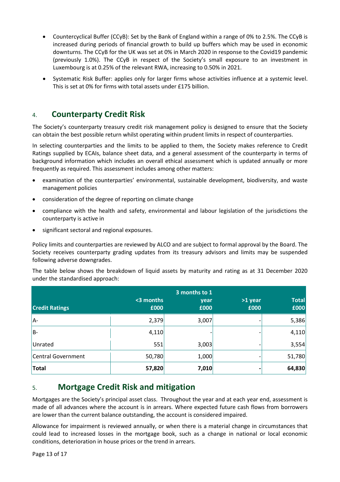- Countercyclical Buffer (CCyB): Set by the Bank of England within a range of 0% to 2.5%. The CCyB is increased during periods of financial growth to build up buffers which may be used in economic downturns. The CCyB for the UK was set at 0% in March 2020 in response to the Covid19 pandemic (previously 1.0%). The CCyB in respect of the Society's small exposure to an investment in Luxembourg is at 0.25% of the relevant RWA, increasing to 0.50% in 2021.
- Systematic Risk Buffer: applies only for larger firms whose activities influence at a systemic level. This is set at 0% for firms with total assets under £175 billion.

# 4. **Counterparty Credit Risk**

The Society's counterparty treasury credit risk management policy is designed to ensure that the Society can obtain the best possible return whilst operating within prudent limits in respect of counterparties.

In selecting counterparties and the limits to be applied to them, the Society makes reference to Credit Ratings supplied by ECAIs, balance sheet data, and a general assessment of the counterparty in terms of background information which includes an overall ethical assessment which is updated annually or more frequently as required. This assessment includes among other matters:

- examination of the counterparties' environmental, sustainable development, biodiversity, and waste management policies
- consideration of the degree of reporting on climate change
- compliance with the health and safety, environmental and labour legislation of the jurisdictions the counterparty is active in
- significant sectoral and regional exposures.

Policy limits and counterparties are reviewed by ALCO and are subject to formal approval by the Board. The Society receives counterparty grading updates from its treasury advisors and limits may be suspended following adverse downgrades.

The table below shows the breakdown of liquid assets by maturity and rating as at 31 December 2020 under the standardised approach:

| <b>Credit Ratings</b> | <3 months<br>£000 | year<br>£000 | >1 year<br>£000 | <b>Total</b><br>£000 |
|-----------------------|-------------------|--------------|-----------------|----------------------|
| A-                    | 2,379             | 3,007        |                 | 5,386                |
| lB-                   | 4,110             |              |                 | 4,110                |
| Unrated               | 551               | 3,003        |                 | 3,554                |
| Central Government    | 50,780            | 1,000        |                 | 51,780               |
| <b>Total</b>          | 57,820            | 7,010        |                 | 64,830               |

# 5. **Mortgage Credit Risk and mitigation**

Mortgages are the Society's principal asset class. Throughout the year and at each year end, assessment is made of all advances where the account is in arrears. Where expected future cash flows from borrowers are lower than the current balance outstanding, the account is considered impaired.

Allowance for impairment is reviewed annually, or when there is a material change in circumstances that could lead to increased losses in the mortgage book, such as a change in national or local economic conditions, deterioration in house prices or the trend in arrears.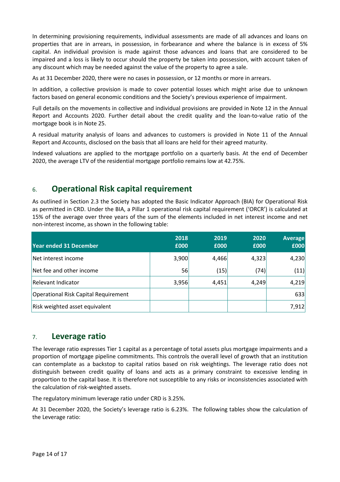In determining provisioning requirements, individual assessments are made of all advances and loans on properties that are in arrears, in possession, in forbearance and where the balance is in excess of 5% capital. An individual provision is made against those advances and loans that are considered to be impaired and a loss is likely to occur should the property be taken into possession, with account taken of any discount which may be needed against the value of the property to agree a sale.

As at 31 December 2020, there were no cases in possession, or 12 months or more in arrears.

In addition, a collective provision is made to cover potential losses which might arise due to unknown factors based on general economic conditions and the Society's previous experience of impairment.

Full details on the movements in collective and individual provisions are provided in Note 12 in the Annual Report and Accounts 2020. Further detail about the credit quality and the loan-to-value ratio of the mortgage book is in Note 25.

A residual maturity analysis of loans and advances to customers is provided in Note 11 of the Annual Report and Accounts, disclosed on the basis that all loans are held for their agreed maturity.

Indexed valuations are applied to the mortgage portfolio on a quarterly basis. At the end of December 2020, the average LTV of the residential mortgage portfolio remains low at 42.75%.

# 6. **Operational Risk capital requirement**

As outlined in Section 2.3 the Society has adopted the Basic Indicator Approach (BIA) for Operational Risk as permitted in CRD. Under the BIA, a Pillar 1 operational risk capital requirement ('ORCR') is calculated at 15% of the average over three years of the sum of the elements included in net interest income and net non-interest income, as shown in the following table:

| Year ended 31 December               | 2018<br>£000 | 2019<br>£000 | 2020<br>£000 | <b>Average</b><br>£000 |
|--------------------------------------|--------------|--------------|--------------|------------------------|
| Net interest income                  | 3,900        | 4,466        | 4,323        | 4,230                  |
| Net fee and other income             | 56           | (15)         | (74)         | (11)                   |
| Relevant Indicator                   | 3,956        | 4,451        | 4,249        | 4,219                  |
| Operational Risk Capital Requirement |              |              |              | 633                    |
| Risk weighted asset equivalent       |              |              |              | 7,912                  |

### 7. **Leverage ratio**

The leverage ratio expresses Tier 1 capital as a percentage of total assets plus mortgage impairments and a proportion of mortgage pipeline commitments. This controls the overall level of growth that an institution can contemplate as a backstop to capital ratios based on risk weightings. The leverage ratio does not distinguish between credit quality of loans and acts as a primary constraint to excessive lending in proportion to the capital base. It is therefore not susceptible to any risks or inconsistencies associated with the calculation of risk-weighted assets.

The regulatory minimum leverage ratio under CRD is 3.25%.

At 31 December 2020, the Society's leverage ratio is 6.23%. The following tables show the calculation of the Leverage ratio: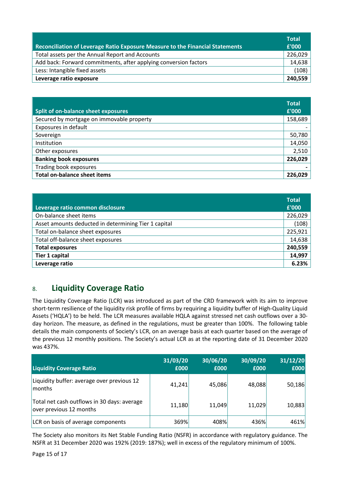| Reconciliation of Leverage Ratio Exposure Measure to the Financial Statements | <b>Total</b><br>£'000 |
|-------------------------------------------------------------------------------|-----------------------|
| Total assets per the Annual Report and Accounts                               | 226,029               |
| Add back: Forward commitments, after applying conversion factors              | 14,638                |
| Less: Intangible fixed assets                                                 | (108)                 |
| Leverage ratio exposure                                                       | 240,559               |

|                                           | <b>Total</b> |
|-------------------------------------------|--------------|
| Split of on-balance sheet exposures       | £'000        |
| Secured by mortgage on immovable property | 158,689      |
| Exposures in default                      |              |
| Sovereign                                 | 50,780       |
| Institution                               | 14,050       |
| Other exposures                           | 2,510        |
| <b>Banking book exposures</b>             | 226,029      |
| Trading book exposures                    |              |
| <b>Total on-balance sheet items</b>       | 226,029      |

| Leverage ratio common disclosure                     | <b>Total</b><br>£'000 |
|------------------------------------------------------|-----------------------|
| On-balance sheet items                               | 226,029               |
| Asset amounts deducted in determining Tier 1 capital | (108)                 |
| Total on-balance sheet exposures                     | 225,921               |
| Total off-balance sheet exposures                    | 14,638                |
| <b>Total exposures</b>                               | 240,559               |
| <b>Tier 1 capital</b>                                | 14,997                |
| Leverage ratio                                       | 6.23%                 |

# 8. **Liquidity Coverage Ratio**

The Liquidity Coverage Ratio (LCR) was introduced as part of the CRD framework with its aim to improve short-term resilience of the liquidity risk profile of firms by requiring a liquidity buffer of High-Quality Liquid Assets ('HQLA') to be held. The LCR measures available HQLA against stressed net cash outflows over a 30 day horizon. The measure, as defined in the regulations, must be greater than 100%. The following table details the main components of Society's LCR, on an average basis at each quarter based on the average of the previous 12 monthly positions. The Society's actual LCR as at the reporting date of 31 December 2020 was 437%.

| <b>Liquidity Coverage Ratio</b>                                        | 31/03/20<br>£000 | 30/06/20<br>£000 | 30/09/20<br>£000 | 31/12/20<br>£000 |
|------------------------------------------------------------------------|------------------|------------------|------------------|------------------|
| Liquidity buffer: average over previous 12<br>months                   | 41,241           | 45,086           | 48,088           | 50,186           |
| Total net cash outflows in 30 days: average<br>over previous 12 months | 11,180           | 11,049           | 11,029           | 10,883           |
| LCR on basis of average components                                     | 369%             | 408%             | 436%             | 461%             |

The Society also monitors its Net Stable Funding Ratio (NSFR) in accordance with regulatory guidance. The NSFR at 31 December 2020 was 192% (2019: 187%); well in excess of the regulatory minimum of 100%.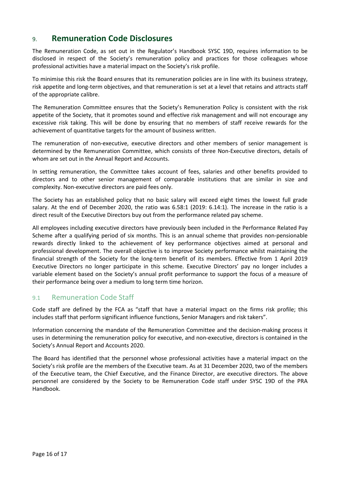# 9. **Remuneration Code Disclosures**

The Remuneration Code, as set out in the Regulator's Handbook SYSC 19D, requires information to be disclosed in respect of the Society's remuneration policy and practices for those colleagues whose professional activities have a material impact on the Society's risk profile.

To minimise this risk the Board ensures that its remuneration policies are in line with its business strategy, risk appetite and long-term objectives, and that remuneration is set at a level that retains and attracts staff of the appropriate calibre.

The Remuneration Committee ensures that the Society's Remuneration Policy is consistent with the risk appetite of the Society, that it promotes sound and effective risk management and will not encourage any excessive risk taking. This will be done by ensuring that no members of staff receive rewards for the achievement of quantitative targets for the amount of business written.

The remuneration of non-executive, executive directors and other members of senior management is determined by the Remuneration Committee, which consists of three Non-Executive directors, details of whom are set out in the Annual Report and Accounts.

In setting remuneration, the Committee takes account of fees, salaries and other benefits provided to directors and to other senior management of comparable institutions that are similar in size and complexity. Non-executive directors are paid fees only.

The Society has an established policy that no basic salary will exceed eight times the lowest full grade salary. At the end of December 2020, the ratio was 6.58:1 (2019: 6.14:1). The increase in the ratio is a direct result of the Executive Directors buy out from the performance related pay scheme.

All employees including executive directors have previously been included in the Performance Related Pay Scheme after a qualifying period of six months. This is an annual scheme that provides non-pensionable rewards directly linked to the achievement of key performance objectives aimed at personal and professional development. The overall objective is to improve Society performance whilst maintaining the financial strength of the Society for the long-term benefit of its members. Effective from 1 April 2019 Executive Directors no longer participate in this scheme. Executive Directors' pay no longer includes a variable element based on the Society's annual profit performance to support the focus of a measure of their performance being over a medium to long term time horizon.

### 9.1 Remuneration Code Staff

Code staff are defined by the FCA as "staff that have a material impact on the firms risk profile; this includes staff that perform significant influence functions, Senior Managers and risk takers".

Information concerning the mandate of the Remuneration Committee and the decision-making process it uses in determining the remuneration policy for executive, and non-executive, directors is contained in the Society's Annual Report and Accounts 2020.

The Board has identified that the personnel whose professional activities have a material impact on the Society's risk profile are the members of the Executive team. As at 31 December 2020, two of the members of the Executive team, the Chief Executive, and the Finance Director, are executive directors. The above personnel are considered by the Society to be Remuneration Code staff under SYSC 19D of the PRA Handbook.